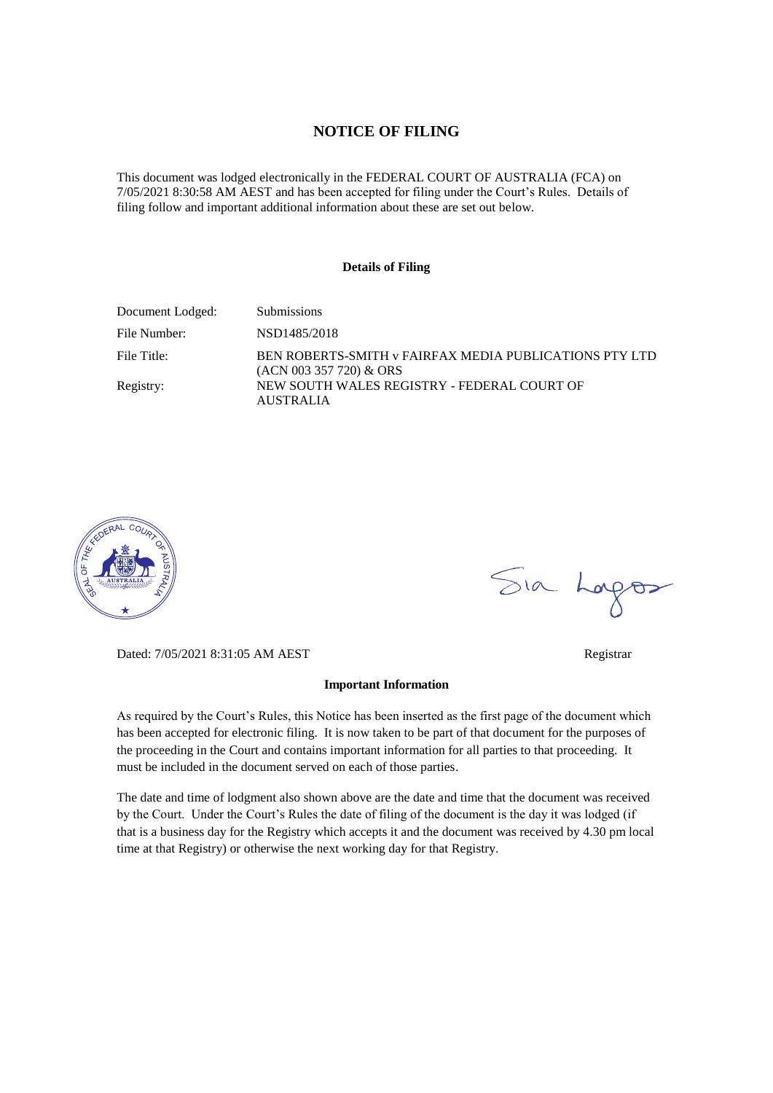#### **NOTICE OF FILING**

This document was lodged electronically in the FEDERAL COURT OF AUSTRALIA (FCA) on 7/05/2021 8:30:58 AM AEST and has been accepted for filing under the Court's Rules. Details of filing follow and important additional information about these are set out below.

#### **Details of Filing**

| Document Lodged: | <b>Submissions</b>                                                                  |
|------------------|-------------------------------------------------------------------------------------|
| File Number:     | NSD1485/2018                                                                        |
| File Title:      | BEN ROBERTS-SMITH v FAIRFAX MEDIA PUBLICATIONS PTY LTD<br>$(ACN 003 357 720)$ & ORS |
| Registry:        | NEW SOUTH WALES REGISTRY - FEDERAL COURT OF<br>AUSTRALIA                            |



Dated: 7/05/2021 8:31:05 AM AEST Registrar

#### **Important Information**

As required by the Court's Rules, this Notice has been inserted as the first page of the document which has been accepted for electronic filing. It is now taken to be part of that document for the purposes of the proceeding in the Court and contains important information for all parties to that proceeding. It must be included in the document served on each of those parties.

The date and time of lodgment also shown above are the date and time that the document was received by the Court. Under the Court's Rules the date of filing of the document is the day it was lodged (if that is a business day for the Registry which accepts it and the document was received by 4.30 pm local time at that Registry) or otherwise the next working day for that Registry.

Sia Logos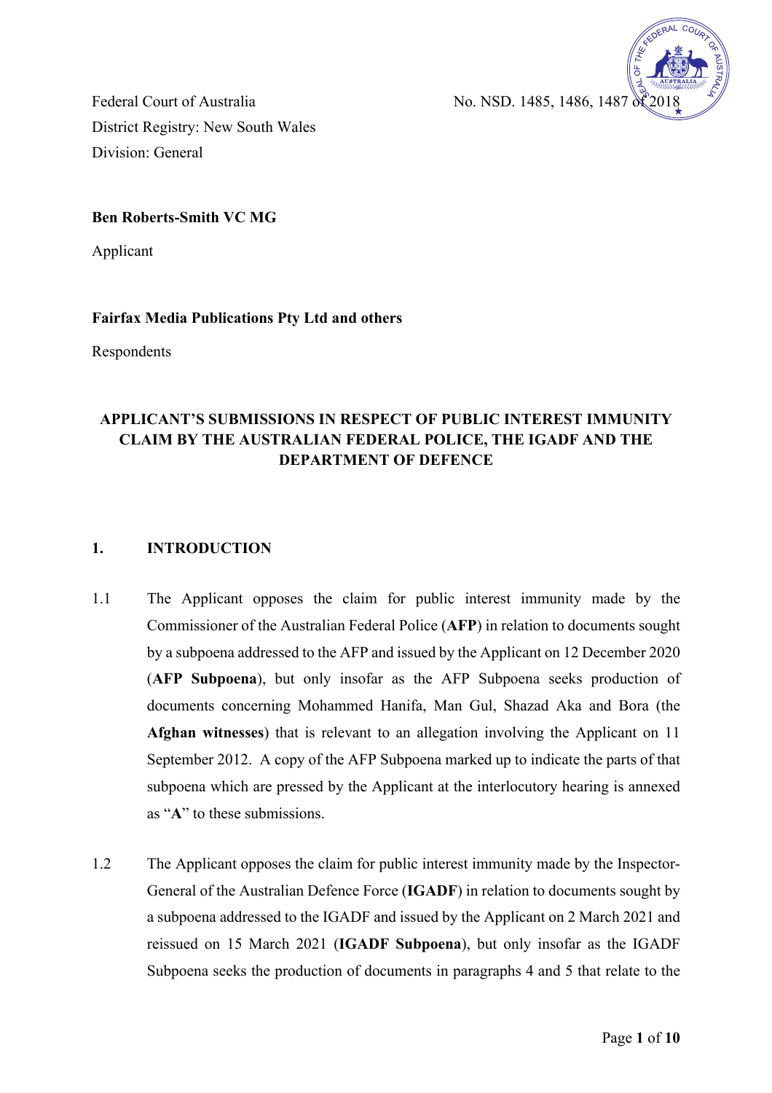

Federal Court of Australia  $\sim$  No. NSD. 1485, 1486, 1487 of 2018 District Registry: New South Wales Division: General

## **Ben Roberts-Smith VC MG**

Applicant

## **Fairfax Media Publications Pty Ltd and others**

Respondents

# **APPLICANT'S SUBMISSIONS IN RESPECT OF PUBLIC INTEREST IMMUNITY CLAIM BY THE AUSTRALIAN FEDERAL POLICE, THE IGADF AND THE DEPARTMENT OF DEFENCE**

#### **1. INTRODUCTION**

- 1.1 The Applicant opposes the claim for public interest immunity made by the Commissioner of the Australian Federal Police (**AFP**) in relation to documents sought by a subpoena addressed to the AFP and issued by the Applicant on 12 December 2020 (**AFP Subpoena**), but only insofar as the AFP Subpoena seeks production of documents concerning Mohammed Hanifa, Man Gul, Shazad Aka and Bora (the **Afghan witnesses**) that is relevant to an allegation involving the Applicant on 11 September 2012. A copy of the AFP Subpoena marked up to indicate the parts of that subpoena which are pressed by the Applicant at the interlocutory hearing is annexed as "**A**" to these submissions.
- 1.2 The Applicant opposes the claim for public interest immunity made by the Inspector-General of the Australian Defence Force (**IGADF**) in relation to documents sought by a subpoena addressed to the IGADF and issued by the Applicant on 2 March 2021 and reissued on 15 March 2021 (**IGADF Subpoena**), but only insofar as the IGADF Subpoena seeks the production of documents in paragraphs 4 and 5 that relate to the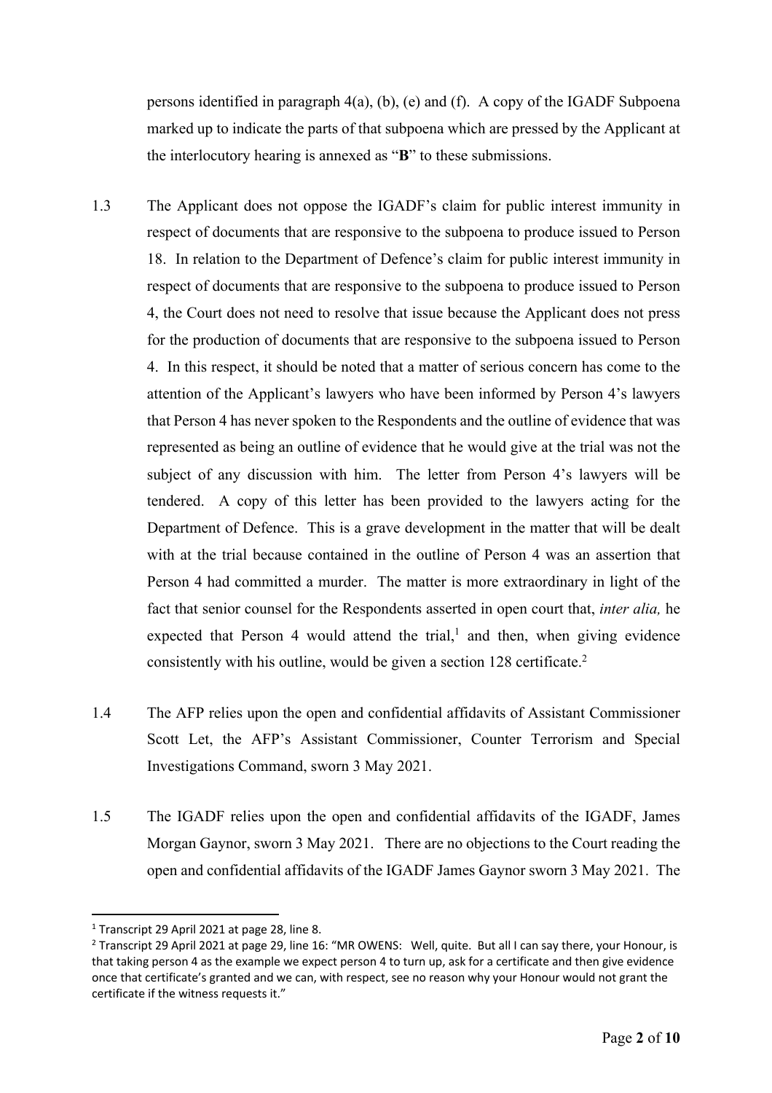persons identified in paragraph 4(a), (b), (e) and (f). A copy of the IGADF Subpoena marked up to indicate the parts of that subpoena which are pressed by the Applicant at the interlocutory hearing is annexed as "**B**" to these submissions.

- 1.3 The Applicant does not oppose the IGADF's claim for public interest immunity in respect of documents that are responsive to the subpoena to produce issued to Person 18. In relation to the Department of Defence's claim for public interest immunity in respect of documents that are responsive to the subpoena to produce issued to Person 4, the Court does not need to resolve that issue because the Applicant does not press for the production of documents that are responsive to the subpoena issued to Person 4. In this respect, it should be noted that a matter of serious concern has come to the attention of the Applicant's lawyers who have been informed by Person 4's lawyers that Person 4 has never spoken to the Respondents and the outline of evidence that was represented as being an outline of evidence that he would give at the trial was not the subject of any discussion with him. The letter from Person 4's lawyers will be tendered. A copy of this letter has been provided to the lawyers acting for the Department of Defence. This is a grave development in the matter that will be dealt with at the trial because contained in the outline of Person 4 was an assertion that Person 4 had committed a murder. The matter is more extraordinary in light of the fact that senior counsel for the Respondents asserted in open court that, *inter alia,* he expected that Person 4 would attend the trial, $<sup>1</sup>$  and then, when giving evidence</sup> consistently with his outline, would be given a section 128 certificate.2
- 1.4 The AFP relies upon the open and confidential affidavits of Assistant Commissioner Scott Let, the AFP's Assistant Commissioner, Counter Terrorism and Special Investigations Command, sworn 3 May 2021.
- 1.5 The IGADF relies upon the open and confidential affidavits of the IGADF, James Morgan Gaynor, sworn 3 May 2021. There are no objections to the Court reading the open and confidential affidavits of the IGADF James Gaynor sworn 3 May 2021. The

<sup>&</sup>lt;sup>1</sup> Transcript 29 April 2021 at page 28, line 8.<br><sup>2</sup> Transcript 29 April 2021 at page 29, line 16: "MR OWENS: Well, quite. But all I can say there, your Honour, is that taking person 4 as the example we expect person 4 to turn up, ask for a certificate and then give evidence once that certificate's granted and we can, with respect, see no reason why your Honour would not grant the certificate if the witness requests it."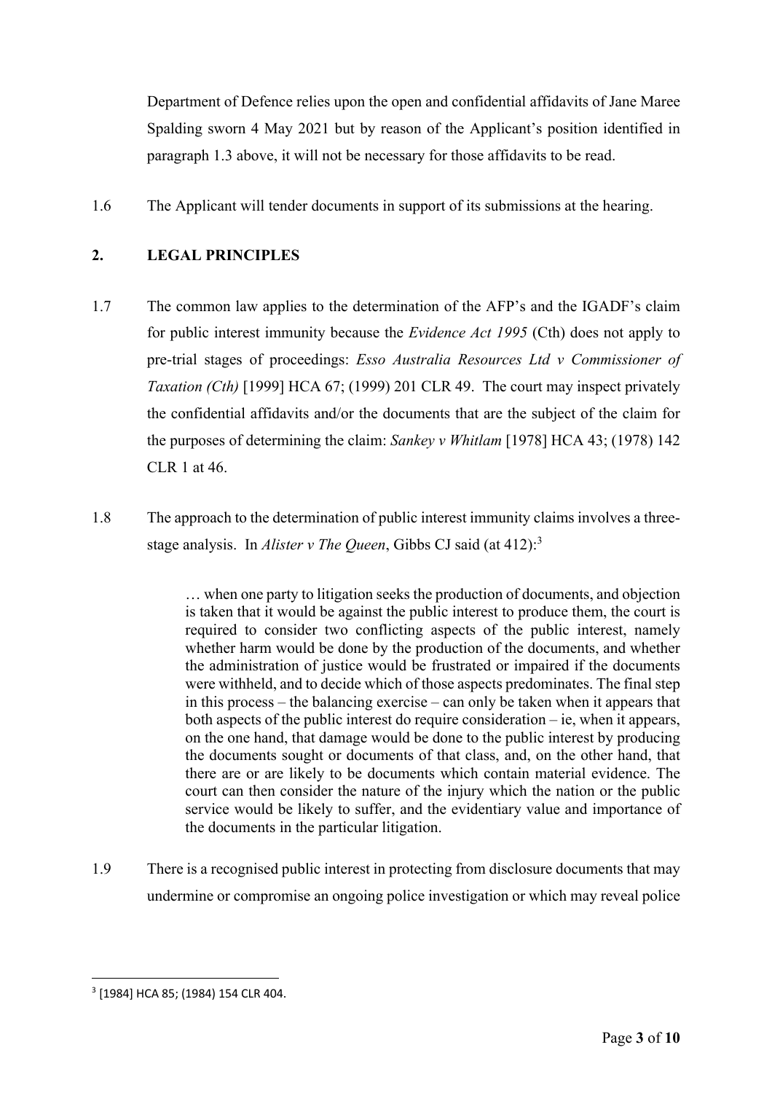Department of Defence relies upon the open and confidential affidavits of Jane Maree Spalding sworn 4 May 2021 but by reason of the Applicant's position identified in paragraph 1.3 above, it will not be necessary for those affidavits to be read.

1.6 The Applicant will tender documents in support of its submissions at the hearing.

# **2. LEGAL PRINCIPLES**

- 1.7 The common law applies to the determination of the AFP's and the IGADF's claim for public interest immunity because the *Evidence Act 1995* (Cth) does not apply to pre-trial stages of proceedings: *Esso Australia Resources Ltd v Commissioner of Taxation (Cth)* [1999] HCA 67; (1999) 201 CLR 49. The court may inspect privately the confidential affidavits and/or the documents that are the subject of the claim for the purposes of determining the claim: *Sankey v Whitlam* [1978] HCA 43; (1978) 142 CLR 1 at 46.
- 1.8 The approach to the determination of public interest immunity claims involves a threestage analysis. In *Alister v The Queen*, Gibbs CJ said (at 412):3

… when one party to litigation seeks the production of documents, and objection is taken that it would be against the public interest to produce them, the court is required to consider two conflicting aspects of the public interest, namely whether harm would be done by the production of the documents, and whether the administration of justice would be frustrated or impaired if the documents were withheld, and to decide which of those aspects predominates. The final step in this process – the balancing exercise – can only be taken when it appears that both aspects of the public interest do require consideration – ie, when it appears, on the one hand, that damage would be done to the public interest by producing the documents sought or documents of that class, and, on the other hand, that there are or are likely to be documents which contain material evidence. The court can then consider the nature of the injury which the nation or the public service would be likely to suffer, and the evidentiary value and importance of the documents in the particular litigation.

1.9 There is a recognised public interest in protecting from disclosure documents that may undermine or compromise an ongoing police investigation or which may reveal police

<sup>3</sup> [1984] HCA 85; (1984) 154 CLR 404.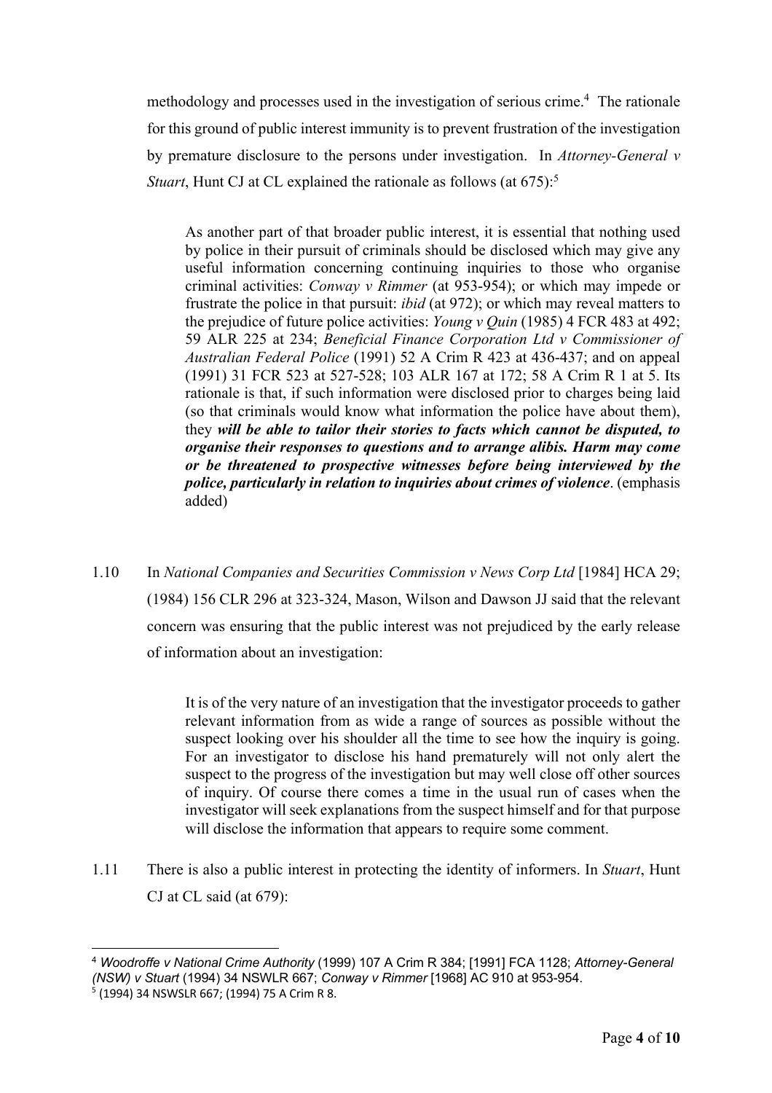methodology and processes used in the investigation of serious crime.4 The rationale for this ground of public interest immunity is to prevent frustration of the investigation by premature disclosure to the persons under investigation. In *Attorney-General v Stuart*, Hunt CJ at CL explained the rationale as follows (at 675):<sup>5</sup>

As another part of that broader public interest, it is essential that nothing used by police in their pursuit of criminals should be disclosed which may give any useful information concerning continuing inquiries to those who organise criminal activities: *Conway v Rimmer* (at 953-954); or which may impede or frustrate the police in that pursuit: *ibid* (at 972); or which may reveal matters to the prejudice of future police activities: *Young v Quin* (1985) 4 FCR 483 at 492; 59 ALR 225 at 234; *Beneficial Finance Corporation Ltd v Commissioner of Australian Federal Police* (1991) 52 A Crim R 423 at 436-437; and on appeal (1991) 31 FCR 523 at 527-528; 103 ALR 167 at 172; 58 A Crim R 1 at 5. Its rationale is that, if such information were disclosed prior to charges being laid (so that criminals would know what information the police have about them), they *will be able to tailor their stories to facts which cannot be disputed, to organise their responses to questions and to arrange alibis. Harm may come or be threatened to prospective witnesses before being interviewed by the police, particularly in relation to inquiries about crimes of violence*. (emphasis added)

1.10 In *National Companies and Securities Commission v News Corp Ltd* [1984] HCA 29; (1984) 156 CLR 296 at 323-324, Mason, Wilson and Dawson JJ said that the relevant concern was ensuring that the public interest was not prejudiced by the early release of information about an investigation:

> It is of the very nature of an investigation that the investigator proceeds to gather relevant information from as wide a range of sources as possible without the suspect looking over his shoulder all the time to see how the inquiry is going. For an investigator to disclose his hand prematurely will not only alert the suspect to the progress of the investigation but may well close off other sources of inquiry. Of course there comes a time in the usual run of cases when the investigator will seek explanations from the suspect himself and for that purpose will disclose the information that appears to require some comment.

1.11 There is also a public interest in protecting the identity of informers. In *Stuart*, Hunt CJ at CL said (at 679):

<sup>4</sup> *Woodroffe v National Crime Authority* (1999) 107 A Crim R 384; [1991] FCA 1128; *Attorney-General (NSW) v Stuart* (1994) 34 NSWLR 667; *Conway v Rimmer* [1968] AC 910 at 953-954.

 $^5$  (1994) 34 NSWSLR 667; (1994) 75 A Crim R 8.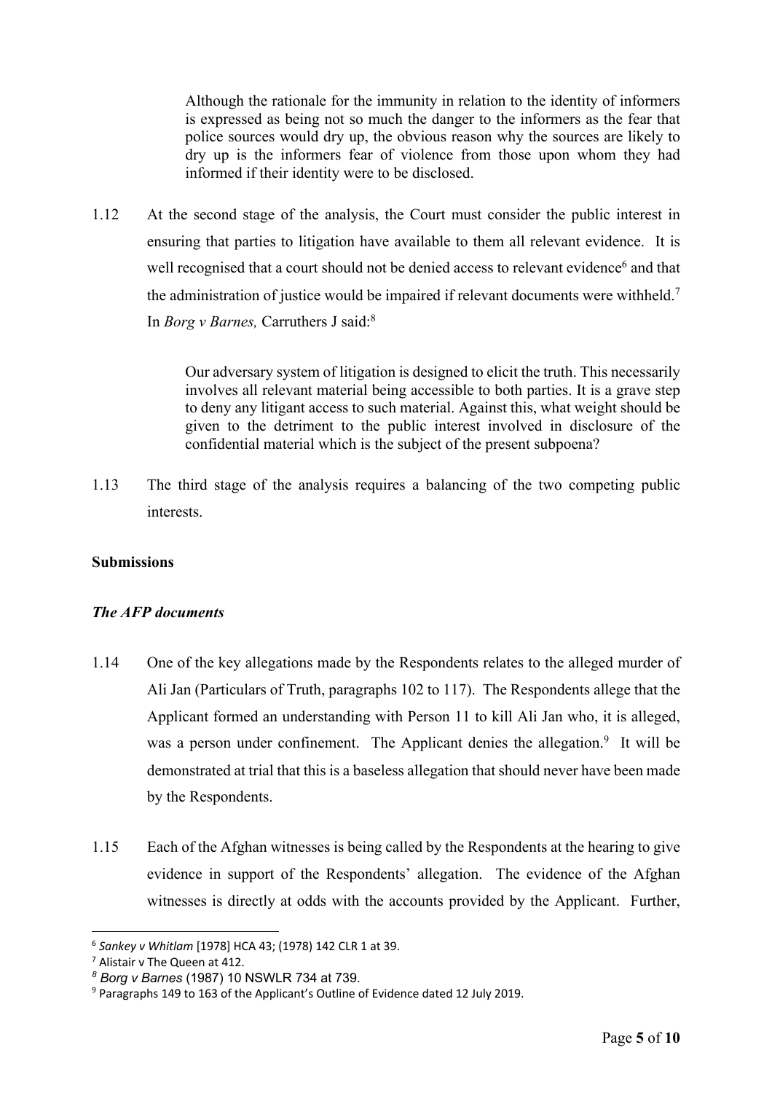Although the rationale for the immunity in relation to the identity of informers is expressed as being not so much the danger to the informers as the fear that police sources would dry up, the obvious reason why the sources are likely to dry up is the informers fear of violence from those upon whom they had informed if their identity were to be disclosed.

1.12 At the second stage of the analysis, the Court must consider the public interest in ensuring that parties to litigation have available to them all relevant evidence. It is well recognised that a court should not be denied access to relevant evidence<sup>6</sup> and that the administration of justice would be impaired if relevant documents were withheld.<sup>7</sup> In *Borg v Barnes,* Carruthers J said: 8

> Our adversary system of litigation is designed to elicit the truth. This necessarily involves all relevant material being accessible to both parties. It is a grave step to deny any litigant access to such material. Against this, what weight should be given to the detriment to the public interest involved in disclosure of the confidential material which is the subject of the present subpoena?

1.13 The third stage of the analysis requires a balancing of the two competing public interests.

# **Submissions**

# *The AFP documents*

- 1.14 One of the key allegations made by the Respondents relates to the alleged murder of Ali Jan (Particulars of Truth, paragraphs 102 to 117). The Respondents allege that the Applicant formed an understanding with Person 11 to kill Ali Jan who, it is alleged, was a person under confinement. The Applicant denies the allegation.<sup>9</sup> It will be demonstrated at trial that this is a baseless allegation that should never have been made by the Respondents.
- 1.15 Each of the Afghan witnesses is being called by the Respondents at the hearing to give evidence in support of the Respondents' allegation. The evidence of the Afghan witnesses is directly at odds with the accounts provided by the Applicant. Further,

<sup>&</sup>lt;sup>6</sup> Sankey v Whitlam [1978] HCA 43; (1978) 142 CLR 1 at 39.<br><sup>7</sup> Alistair v The Queen at 412.

*<sup>8</sup> Borg v Barnes* (1987) 10 NSWLR 734 at 739.

<sup>9</sup> Paragraphs 149 to 163 of the Applicant's Outline of Evidence dated 12 July 2019.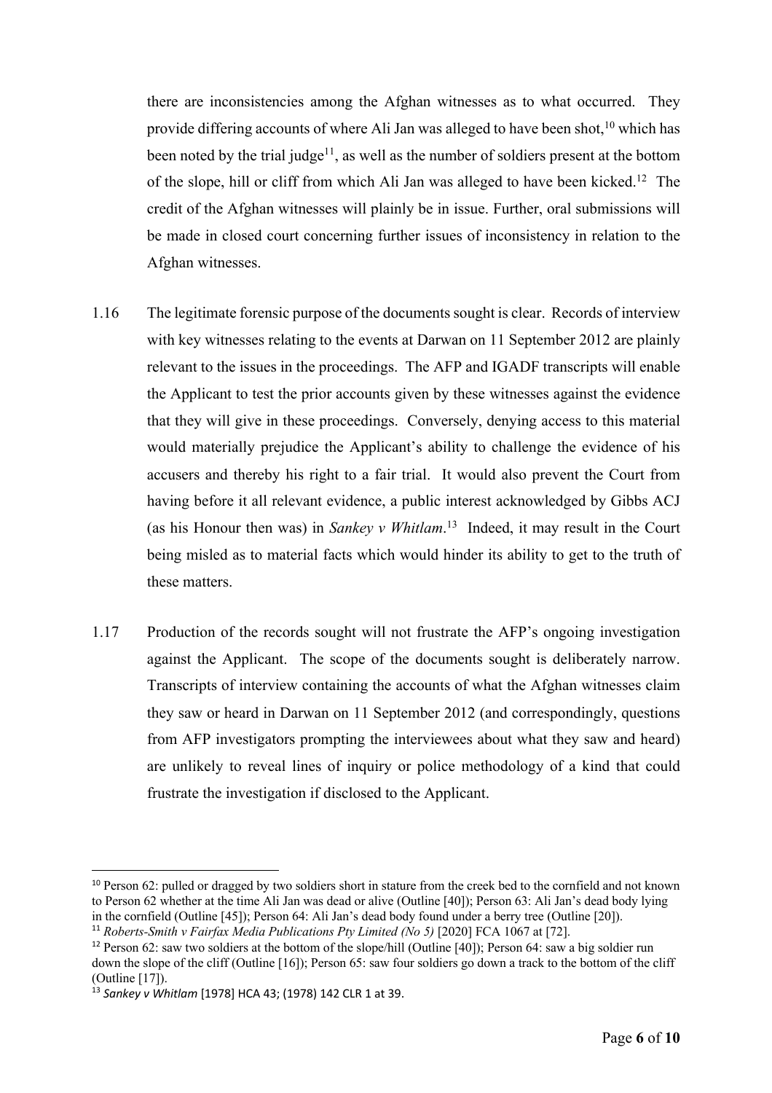there are inconsistencies among the Afghan witnesses as to what occurred. They provide differing accounts of where Ali Jan was alleged to have been shot,  $10$  which has been noted by the trial judge<sup>11</sup>, as well as the number of soldiers present at the bottom of the slope, hill or cliff from which Ali Jan was alleged to have been kicked.<sup>12</sup> The credit of the Afghan witnesses will plainly be in issue. Further, oral submissions will be made in closed court concerning further issues of inconsistency in relation to the Afghan witnesses.

- 1.16 The legitimate forensic purpose of the documents sought is clear. Records of interview with key witnesses relating to the events at Darwan on 11 September 2012 are plainly relevant to the issues in the proceedings. The AFP and IGADF transcripts will enable the Applicant to test the prior accounts given by these witnesses against the evidence that they will give in these proceedings. Conversely, denying access to this material would materially prejudice the Applicant's ability to challenge the evidence of his accusers and thereby his right to a fair trial. It would also prevent the Court from having before it all relevant evidence, a public interest acknowledged by Gibbs ACJ (as his Honour then was) in *Sankey v Whitlam*. <sup>13</sup> Indeed, it may result in the Court being misled as to material facts which would hinder its ability to get to the truth of these matters.
- 1.17 Production of the records sought will not frustrate the AFP's ongoing investigation against the Applicant. The scope of the documents sought is deliberately narrow. Transcripts of interview containing the accounts of what the Afghan witnesses claim they saw or heard in Darwan on 11 September 2012 (and correspondingly, questions from AFP investigators prompting the interviewees about what they saw and heard) are unlikely to reveal lines of inquiry or police methodology of a kind that could frustrate the investigation if disclosed to the Applicant.

<sup>&</sup>lt;sup>10</sup> Person 62: pulled or dragged by two soldiers short in stature from the creek bed to the cornfield and not known to Person 62 whether at the time Ali Jan was dead or alive (Outline [40]); Person 63: Ali Jan's dead body lying in the cornfield (Outline [45]); Person 64: Ali Jan's dead body found under a berry tree (Outline [20]).

<sup>11</sup> *Roberts-Smith v Fairfax Media Publications Pty Limited (No 5)* [2020] FCA 1067 at [72].

<sup>&</sup>lt;sup>12</sup> Person 62: saw two soldiers at the bottom of the slope/hill (Outline [40]); Person 64: saw a big soldier run

down the slope of the cliff (Outline [16]); Person 65: saw four soldiers go down a track to the bottom of the cliff (Outline [17]).

<sup>13</sup> *Sankey v Whitlam* [1978] HCA 43; (1978) 142 CLR 1 at 39.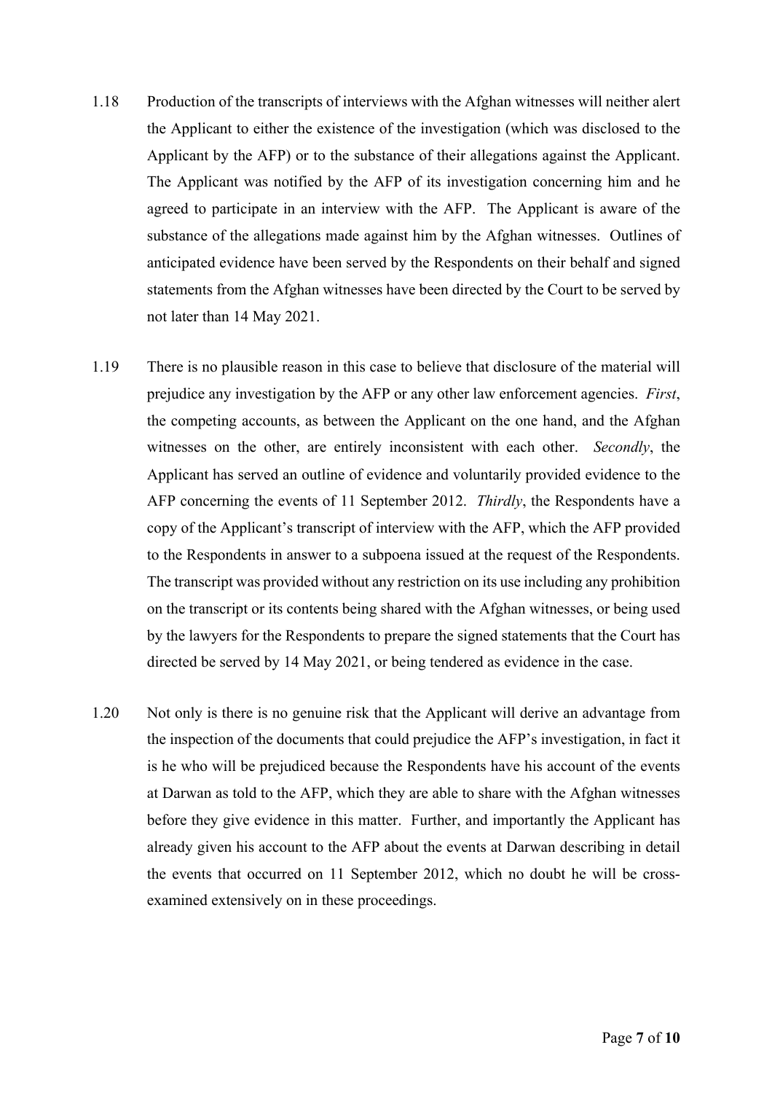- 1.18 Production of the transcripts of interviews with the Afghan witnesses will neither alert the Applicant to either the existence of the investigation (which was disclosed to the Applicant by the AFP) or to the substance of their allegations against the Applicant. The Applicant was notified by the AFP of its investigation concerning him and he agreed to participate in an interview with the AFP. The Applicant is aware of the substance of the allegations made against him by the Afghan witnesses. Outlines of anticipated evidence have been served by the Respondents on their behalf and signed statements from the Afghan witnesses have been directed by the Court to be served by not later than 14 May 2021.
- 1.19 There is no plausible reason in this case to believe that disclosure of the material will prejudice any investigation by the AFP or any other law enforcement agencies. *First*, the competing accounts, as between the Applicant on the one hand, and the Afghan witnesses on the other, are entirely inconsistent with each other. *Secondly*, the Applicant has served an outline of evidence and voluntarily provided evidence to the AFP concerning the events of 11 September 2012. *Thirdly*, the Respondents have a copy of the Applicant's transcript of interview with the AFP, which the AFP provided to the Respondents in answer to a subpoena issued at the request of the Respondents. The transcript was provided without any restriction on its use including any prohibition on the transcript or its contents being shared with the Afghan witnesses, or being used by the lawyers for the Respondents to prepare the signed statements that the Court has directed be served by 14 May 2021, or being tendered as evidence in the case.
- 1.20 Not only is there is no genuine risk that the Applicant will derive an advantage from the inspection of the documents that could prejudice the AFP's investigation, in fact it is he who will be prejudiced because the Respondents have his account of the events at Darwan as told to the AFP, which they are able to share with the Afghan witnesses before they give evidence in this matter. Further, and importantly the Applicant has already given his account to the AFP about the events at Darwan describing in detail the events that occurred on 11 September 2012, which no doubt he will be crossexamined extensively on in these proceedings.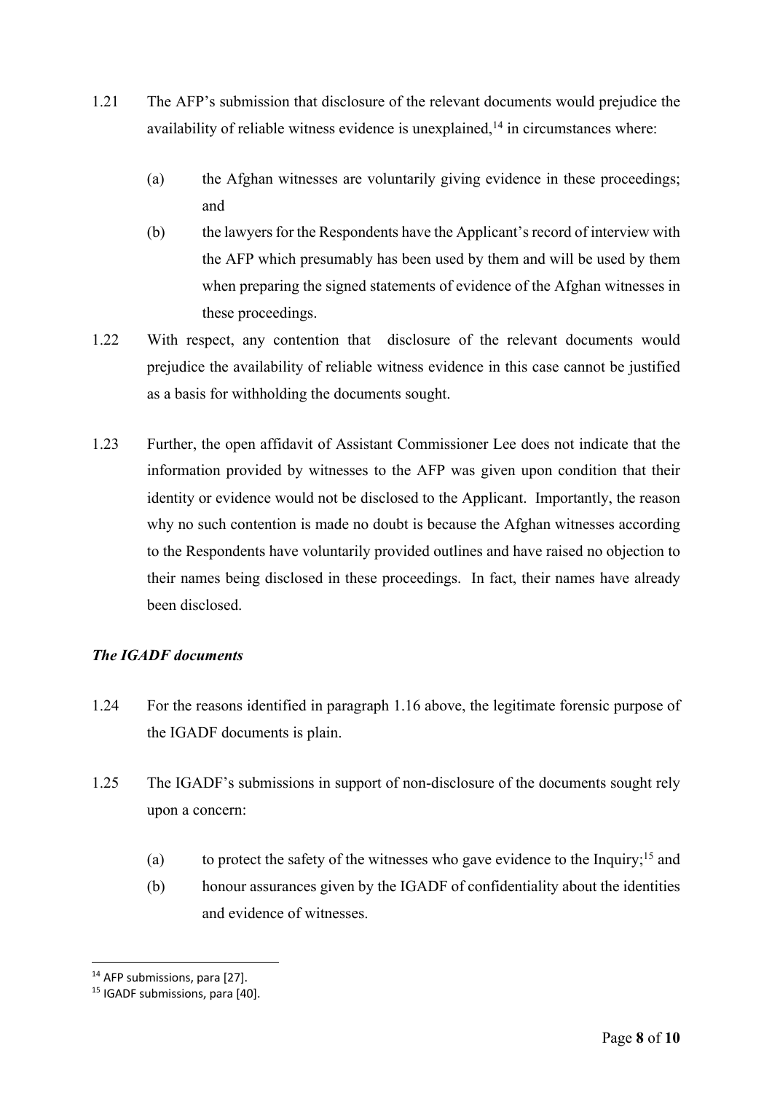- 1.21 The AFP's submission that disclosure of the relevant documents would prejudice the availability of reliable witness evidence is unexplained,<sup>14</sup> in circumstances where:
	- (a) the Afghan witnesses are voluntarily giving evidence in these proceedings; and
	- (b) the lawyers for the Respondents have the Applicant's record of interview with the AFP which presumably has been used by them and will be used by them when preparing the signed statements of evidence of the Afghan witnesses in these proceedings.
- 1.22 With respect, any contention that disclosure of the relevant documents would prejudice the availability of reliable witness evidence in this case cannot be justified as a basis for withholding the documents sought.
- 1.23 Further, the open affidavit of Assistant Commissioner Lee does not indicate that the information provided by witnesses to the AFP was given upon condition that their identity or evidence would not be disclosed to the Applicant. Importantly, the reason why no such contention is made no doubt is because the Afghan witnesses according to the Respondents have voluntarily provided outlines and have raised no objection to their names being disclosed in these proceedings. In fact, their names have already been disclosed.

# *The IGADF documents*

- 1.24 For the reasons identified in paragraph 1.16 above, the legitimate forensic purpose of the IGADF documents is plain.
- 1.25 The IGADF's submissions in support of non-disclosure of the documents sought rely upon a concern:
	- (a) to protect the safety of the witnesses who gave evidence to the Inquiry;<sup>15</sup> and
	- (b) honour assurances given by the IGADF of confidentiality about the identities and evidence of witnesses.

<sup>14</sup> AFP submissions, para [27].

<sup>15</sup> IGADF submissions, para [40].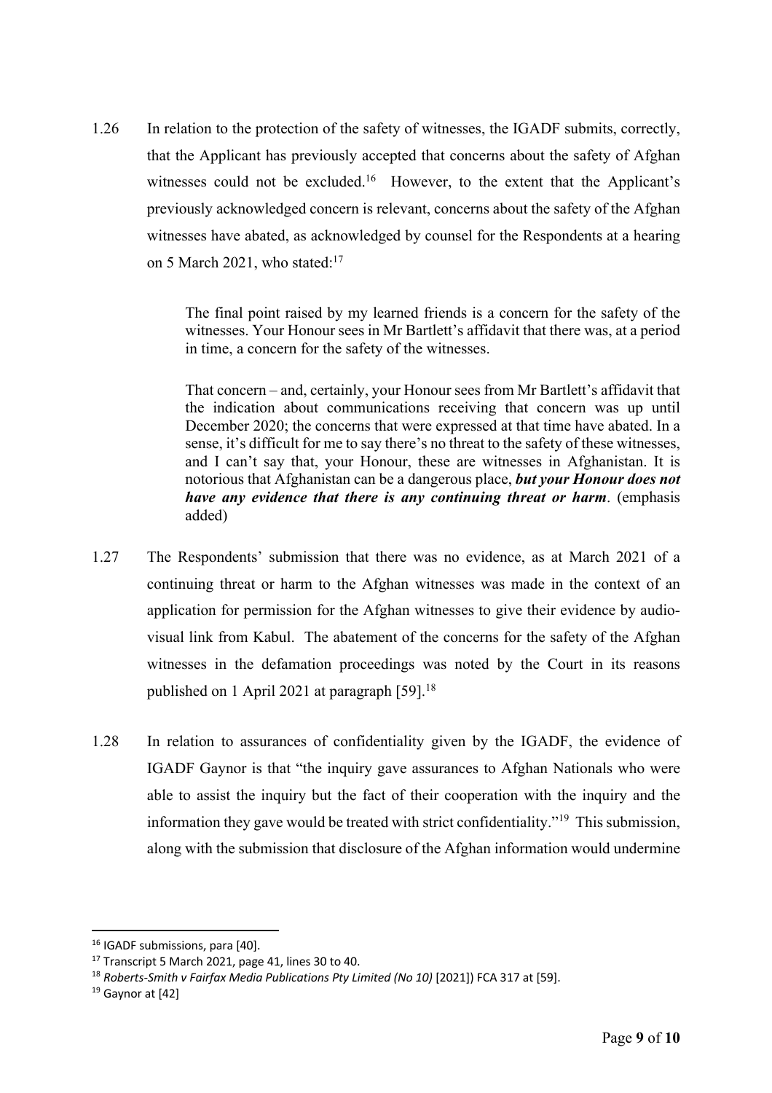1.26 In relation to the protection of the safety of witnesses, the IGADF submits, correctly, that the Applicant has previously accepted that concerns about the safety of Afghan witnesses could not be excluded.<sup>16</sup> However, to the extent that the Applicant's previously acknowledged concern is relevant, concerns about the safety of the Afghan witnesses have abated, as acknowledged by counsel for the Respondents at a hearing on 5 March 2021, who stated:<sup>17</sup>

> The final point raised by my learned friends is a concern for the safety of the witnesses. Your Honour sees in Mr Bartlett's affidavit that there was, at a period in time, a concern for the safety of the witnesses.

> That concern – and, certainly, your Honour sees from Mr Bartlett's affidavit that the indication about communications receiving that concern was up until December 2020; the concerns that were expressed at that time have abated. In a sense, it's difficult for me to say there's no threat to the safety of these witnesses, and I can't say that, your Honour, these are witnesses in Afghanistan. It is notorious that Afghanistan can be a dangerous place, *but your Honour does not have any evidence that there is any continuing threat or harm*. (emphasis added)

- 1.27 The Respondents' submission that there was no evidence, as at March 2021 of a continuing threat or harm to the Afghan witnesses was made in the context of an application for permission for the Afghan witnesses to give their evidence by audiovisual link from Kabul. The abatement of the concerns for the safety of the Afghan witnesses in the defamation proceedings was noted by the Court in its reasons published on 1 April 2021 at paragraph [59].<sup>18</sup>
- 1.28 In relation to assurances of confidentiality given by the IGADF, the evidence of IGADF Gaynor is that "the inquiry gave assurances to Afghan Nationals who were able to assist the inquiry but the fact of their cooperation with the inquiry and the information they gave would be treated with strict confidentiality."19 This submission, along with the submission that disclosure of the Afghan information would undermine

<sup>&</sup>lt;sup>16</sup> IGADF submissions, para [40].<br><sup>17</sup> Transcript 5 March 2021, page 41, lines 30 to 40.

<sup>&</sup>lt;sup>18</sup> Roberts-Smith v Fairfax Media Publications Pty Limited (No 10) [2021]) FCA 317 at [59].

<sup>&</sup>lt;sup>19</sup> Gaynor at [42]